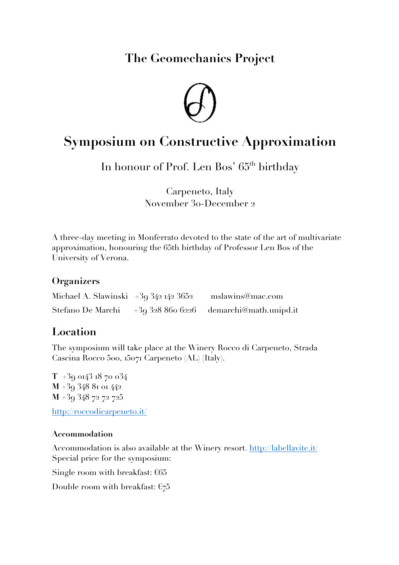**The Geomechanics Project**



# **Symposium on Constructive Approximation**

In honour of Prof. Len Bos' 65<sup>th</sup> birthday

Carpeneto, Italy November 30-December 2

A three-day meeting in Monferrato devoted to the state of the art of multivariate approximation, honouring the 65th birthday of Professor Len Bos of the University of Verona.

#### **Organizers**

| Michael A. Slawinski $+393421423652$ | mslawins@mac.com                       |
|--------------------------------------|----------------------------------------|
| Stefano De Marchi                    | $+393288666226$ demarchi@math.unipd.it |

## **Location**

The symposium will take place at the Winery Rocco di Carpeneto, Strada Cascina Rocco 500, 15071 Carpeneto (AL) (Italy).

**T** +39 0143 18 70 034 **M** +39 348 81 01 442 **M** +39 348 72 72 725 http://roccodicarpeneto.it/

#### **Accommodation**

Accommodation is also available at the Winery resort. http://labellavite.it/ Special price for the symposium:

Single room with breakfast: €65

Double room with breakfast:  $\epsilon_7$ 5